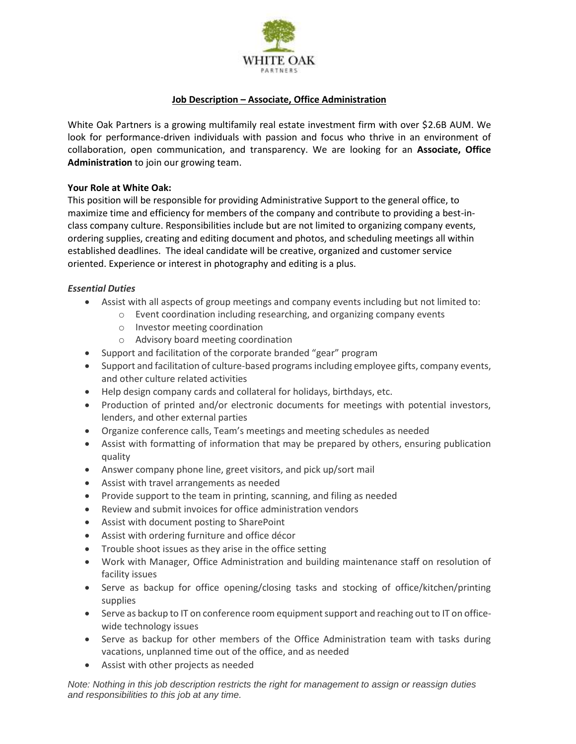

# **Job Description – Associate, Office Administration**

White Oak Partners is a growing multifamily real estate investment firm with over \$2.6B AUM. We look for performance-driven individuals with passion and focus who thrive in an environment of collaboration, open communication, and transparency. We are looking for an **Associate, Office Administration** to join our growing team.

#### **Your Role at White Oak:**

This position will be responsible for providing Administrative Support to the general office, to maximize time and efficiency for members of the company and contribute to providing a best-inclass company culture. Responsibilities include but are not limited to organizing company events, ordering supplies, creating and editing document and photos, and scheduling meetings all within established deadlines. The ideal candidate will be creative, organized and customer service oriented. Experience or interest in photography and editing is a plus.

### *Essential Duties*

- Assist with all aspects of group meetings and company events including but not limited to:
	- o Event coordination including researching, and organizing company events
	- o Investor meeting coordination
	- o Advisory board meeting coordination
- Support and facilitation of the corporate branded "gear" program
- Support and facilitation of culture-based programs including employee gifts, company events, and other culture related activities
- Help design company cards and collateral for holidays, birthdays, etc.
- Production of printed and/or electronic documents for meetings with potential investors, lenders, and other external parties
- Organize conference calls, Team's meetings and meeting schedules as needed
- Assist with formatting of information that may be prepared by others, ensuring publication quality
- Answer company phone line, greet visitors, and pick up/sort mail
- Assist with travel arrangements as needed
- Provide support to the team in printing, scanning, and filing as needed
- Review and submit invoices for office administration vendors
- Assist with document posting to SharePoint
- Assist with ordering furniture and office décor
- Trouble shoot issues as they arise in the office setting
- Work with Manager, Office Administration and building maintenance staff on resolution of facility issues
- Serve as backup for office opening/closing tasks and stocking of office/kitchen/printing supplies
- Serve as backup to IT on conference room equipment support and reaching out to IT on officewide technology issues
- Serve as backup for other members of the Office Administration team with tasks during vacations, unplanned time out of the office, and as needed
- Assist with other projects as needed

*Note: Nothing in this job description restricts the right for management to assign or reassign duties and responsibilities to this job at any time.*